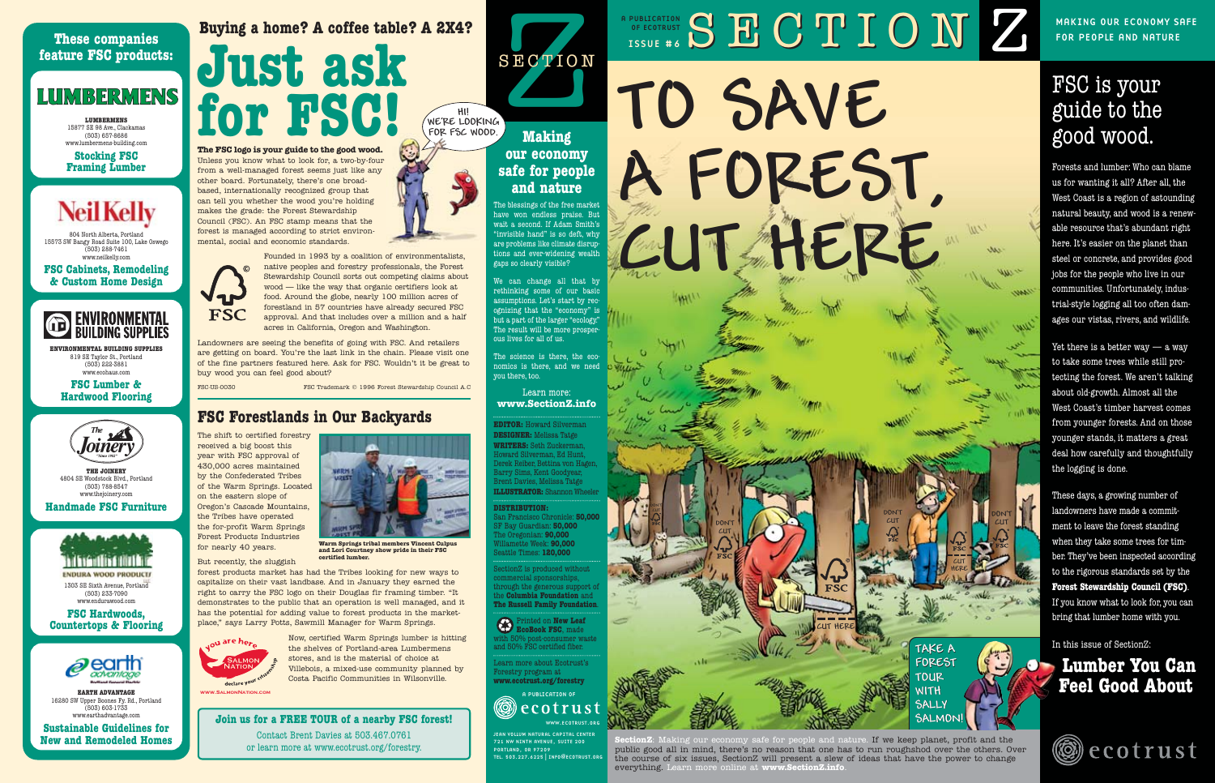## **OF ECOTRUST SECTION CLION Z** OF ECOTRUST CURLICATION CURLICATION CURLICATION CURLICATION CURLICATION CURLICATION CURLICATION

# **TO SAVE A FOREST, CUT HERE**

for people and nature

## FSC is your guide to the good wood.

Forests and lumber: Who can blame us for wanting it all? After all, the West Coast is a region of astounding natural beauty, and wood is a renewable resource that's abundant right here. It's easier on the planet than steel or concrete, and provides good jobs for the people who live in our communities. Unfortunately, industrial-style logging all too often damages our vistas, rivers, and wildlife.

Yet there is a better way  $-$  a way to take some trees while still protecting the forest. We aren't talking about old-growth. Almost all the West Coast's timber harvest comes from younger forests. And on those younger stands, it matters a great deal how carefully and thoughtfully the logging is done.

These days, a growing number of landowners have made a commitment to leave the forest standing when they take some trees for timber. They've been inspected according to the rigorous standards set by the **Forest Stewardship Council (FSC)**. If you know what to look for, you can bring that lumber home with you.

In this issue of SectionZ:

## **Lumber You Can Feel Good About**

ecotrust

safe for people and nature. If we keep planet, profit and the public good all in mind, there's no reason that one has to run roughshod over the others. Over the course of six issues, SectionZ will present a slew of ideas that have the power to change everything. Learn more online at **www.SectionZ.info**.

**CUT HERE**

**FSC** 

**CUT DON'T DON'T DON'T DON'T** 

DON'T **A DON'T** 

**CUT**

**DONíT**

**CUT HERE**

**TAKE A TAKE A FOREST** 

**SALMON! SALMON!**

**TOUR TOUR WITH WITH SALLY**  **CUT**

**DONíT**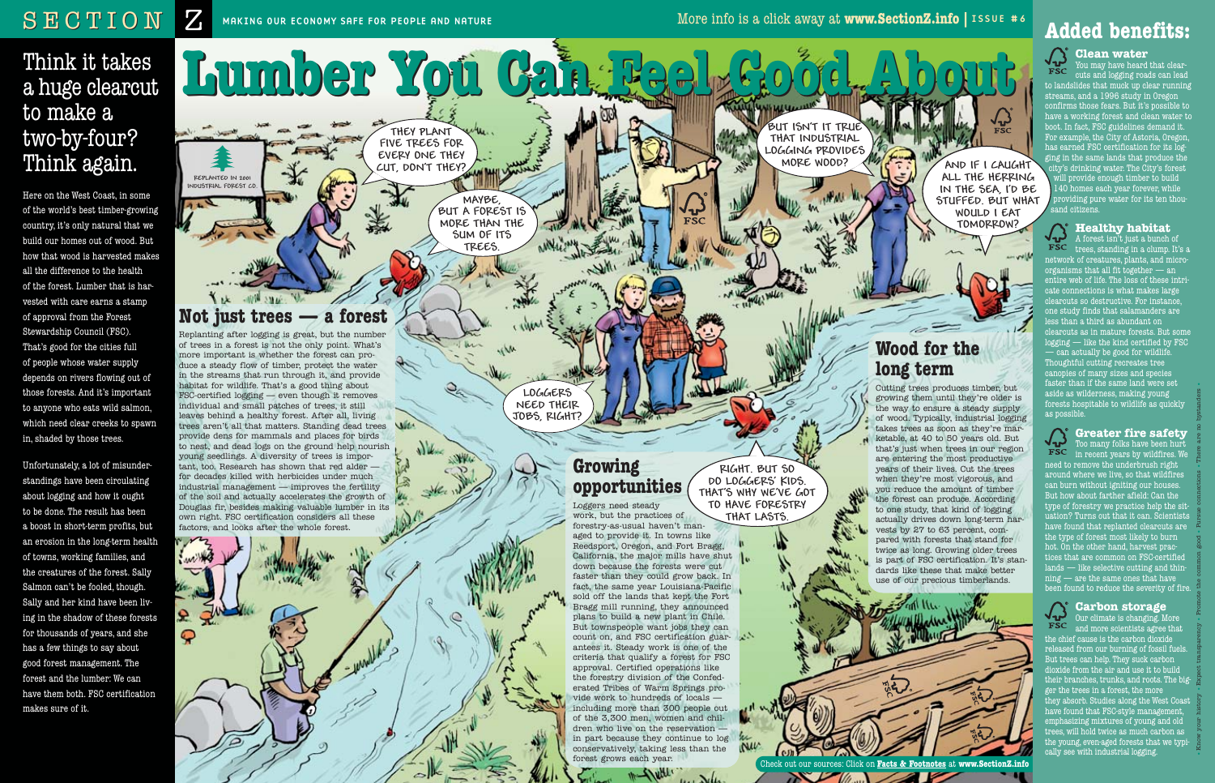## Think it takes a huge clearcut to make a two-by-four? Think again.

Here on the West Coast, in some of the world's best timber-growing country, it's only natural that we build our homes out of wood. But how that wood is harvested makes all the difference to the health of the forest. Lumber that is harvested with care earns a stamp of approval from the Forest Stewardship Council (FSC). That's good for the cities full of people whose water supply depends on rivers flowing out of those forests. And it's important to anyone who eats wild salmon, which need clear creeks to spawn in, shaded by those trees.

Unfortunately, a lot of misunderstandings have been circulating about logging and how it ought to be done. The result has been a boost in short-term profits, but an erosion in the long-term health of towns, working families, and the creatures of the forest. Sally Salmon can't be fooled, though. Sally and her kind have been living in the shadow of these forests for thousands of years, and she has a few things to say about good forest management. The forest and the lumber: We can have them both. FSC certification makes sure of it.

 $\sqrt{4}$ A forest isn't just a bunch of **FSC** trees, standing in a clump. It's a network of creatures, plants, and microorganisms that all fit together  $-$  an entire web of life. The loss of these intricate connections is what makes large clearcuts so destructive. For instance, one study finds that salamanders are ess than a third as abundant on  $\overline{\phantom{a}}$ clearcuts as in mature forests. But some logging — like the kind certified by FSC — can actually be good for wildlife. Thoughtful cutting recreates tree canopies of many sizes and species faster than if the same land were set aside as wilderness, making young forests hospitable to wildlife as quickly as possible.



**Lumber You Can Feel Good About Lumber You Can Feel Good About**

 $\sqrt{k}$ 

## **Added benefits:**

**Clean water**  You may have heard that clearcuts and logging roads can lead to landslides that muck up clear running streams, and a 1996 study in Oregon confirms those fears. But it's possible to have a working forest and clean water to boot. In fact, FSC guidelines demand it. For example, the City of Astoria, Oregon, has earned FSC certification for its logging in the same lands that produce the city's drinking water. The City's forest will provide enough timber to build 140 homes each year forever, while providing pure water for its ten thousand citizens.

#### **Healthy habitat**

#### **Greater fire safety**

Too many folks have been hurt in recent years by wildfires. We need to remove the underbrush right around where we live, so that wildfires can burn without igniting our houses. But how about farther afield: Can the type of forestry we practice help the situation? Turns out that it can. Scientists have found that replanted clearcuts are the type of forest most likely to burn hot. On the other hand, harvest practices that are common on FSC-certified lands — like selective cutting and thin $n$ ing  $-$  are the same ones that have been found to reduce the severity of fire.



#### **Carbon storage**  Our climate is changing. More

and more scientists agree that the chief cause is the carbon dioxide released from our burning of fossil fuels. But trees can help. They suck carbon ioxide from the air and use it to build heir branches, trunks, and roots. The bigger the trees in a forest, the more they absorb. Studies along the West Coast have found that FSC-style management, emphasizing mixtures of young and old trees, will hold twice as much carbon as the young, even-aged forests that we typically see with industrial logging.

**THEY PLANT FIVE TREES FOR EVERY ONE THEY CUT, DONíT THEY?**

**REPLANTED IN 2001 INDUSTRIAL FOREST CO.**

with

 $\mathbf{R}$ 

ဝှ

**MAYBE, BUT A FOREST IS MORE THAN THE SUM OF ITS TREES.**

## **Not just trees — a forest**

Replanting after logging is great, but the number of trees in a forest is not the only point. What's more important is whether the forest can produce a steady flow of timber, protect the water in the streams that run through it, and provide habitat for wildlife. That's a good thing about FSC-certified logging — even though it removes individual and small patches of trees, it still leaves behind a healthy forest. After all, living trees aren't all that matters. Standing dead trees provide dens for mammals and places for birds to nest, and dead logs on the ground help nourish young seedlings. A diversity of trees is important, too. Research has shown that red alder for decades killed with herbicides under much industrial management — improves the fertility of the soil and actually accelerates the growth of Douglas fir, besides making valuable lumber in its own right. FSC certification considers all these factors, and looks after the whole forest.

**LOGGERS NEED THEIR JOBS, RIGHT?**

**BUT ISNíT IT TRUE THAT INDUSTRIAL LOGGING PROVIDES MORE WOOD?**

Check out our sources: Click on **Facts & Footnotes** at **www.SectionZ.info**

 $\sum$ 

## **Growing opportunities**

Loggers need steady work, but the practices of forestry-as-usual haven't managed to provide it. In towns like Reedsport, Oregon, and Fort Bragg, California, the major mills have shut down because the forests were cut faster than they could grow back. In fact, the same year Louisiana-Pacific sold off the lands that kept the Fort Bragg mill running, they announced plans to build a new plant in Chile. But townspeople want jobs they can count on, and FSC certification guarantees it. Steady work is one of the criteria that qualify a forest for FSC approval. Certified operations like the forestry division of the Confederated Tribes of Warm Springs provide work to hundreds of locals including more than 300 people out of the 3,300 men, women and children who live on the reservation in part because they continue to log conservatively, taking less than the forest grows each year.

. . . N.l.

**RIGHT. BUT SO DO LOGGERSí KIDS. THATíS WHY WEíVE GOT TO HAVE FORESTRY THAT LASTS.**

## **Wood for the long term**

Cutting trees produces timber, but growing them until they're older is the way to ensure a steady supply of wood. Typically, industrial logging takes trees as soon as they're marketable, at 40 to 50 years old. But that's just when trees in our region are entering the most productive years of their lives. Cut the trees when they're most vigorous, and you reduce the amount of timber the forest can produce. According to one study, that kind of logging actually drives down long-term harvests by 27 to 63 percent, compared with forests that stand for twice as long. Growing older trees is part of FSC certification. It's standards like these that make better use of our precious timberlands.



**AND IF I CAUGHT ALL THE HERRING IN THE SEA, IíD BE STUFFED. BUT WHAT WOULD I EAT TOMORROW?**